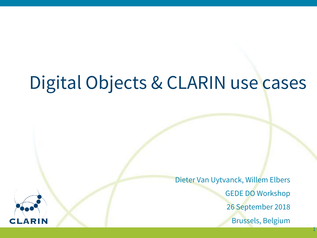# Digital Objects & CLARIN use cases

Dieter Van Uytvanck, Willem Elbers GEDE DO Workshop 26 September 2018 Brussels, Belgium

1

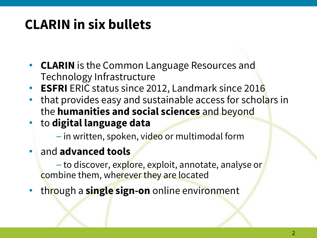# **CLARIN in six bullets**

- **CLARIN** is the Common Language Resources and Technology Infrastructure
- **ESFRI** ERIC status since 2012, Landmark since 2016
- that provides easy and sustainable access for scholars in the **humanities and social sciences** and beyond
- to **digital language data**

– in written, spoken, video or multimodal form

• and **advanced tools**

– to discover, explore, exploit, annotate, analyse or combine them, wherever they are located

• through a **single sign-on** online environment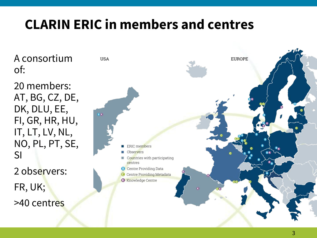# **CLARIN ERIC in members and centres**

A consortium of:

20 members: AT, BG, CZ, DE, DK, DLU, EE, FI, GR, HR, HU, IT, LT, LV, NL, NO, PL, PT, SE, SI 2 observers: FR, UK; >40 centres

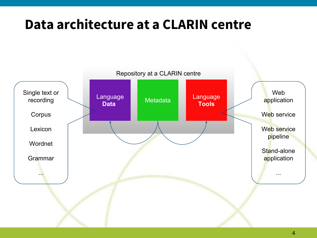## **Data architecture at a CLARIN centre**

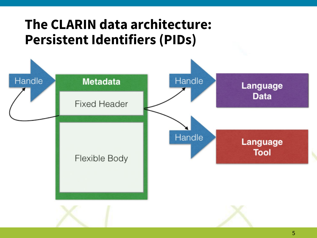## **The CLARIN data architecture: Persistent Identifiers (PIDs)**

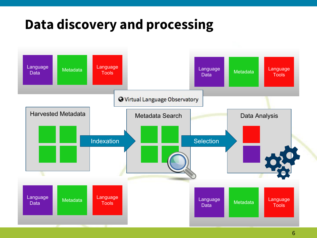## **Data discovery and processing**

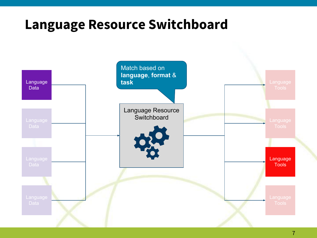#### **Language Resource Switchboard**

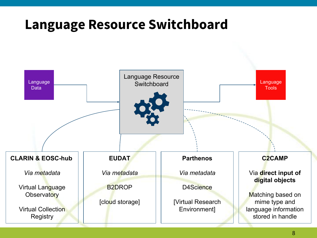#### **Language Resource Switchboard**

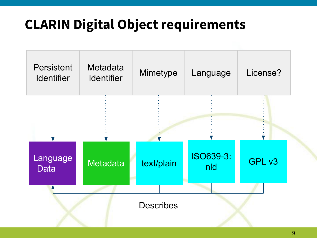# **CLARIN Digital Object requirements**

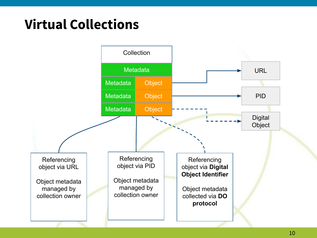# **Virtual Collections**

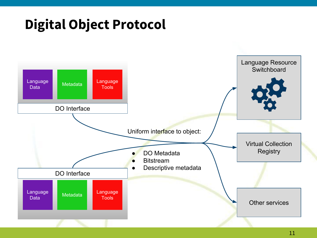## **Digital Object Protocol**